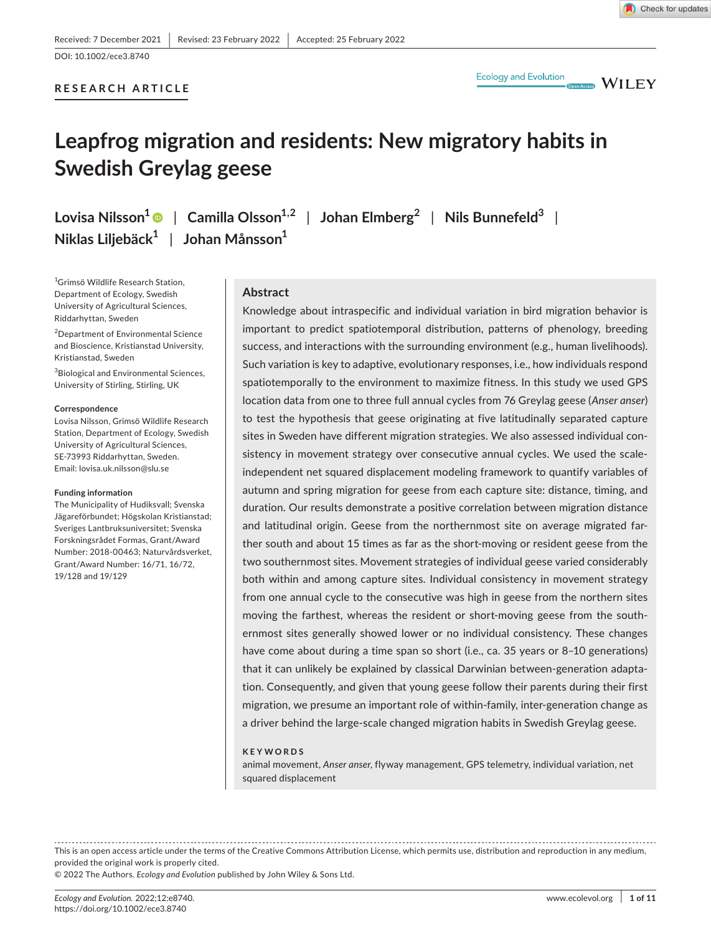# **RESEARCH ARTICLE**



 $\blacksquare$  WILEY

# **Leapfrog migration and residents: New migratory habits in Swedish Greylag geese**

**Lovisa Nilsson1** | **Camilla Olsson1,2** | **Johan Elmberg<sup>2</sup>** | **Nils Bunnefeld3** | **Niklas Liljebäck1** | **Johan Månsson1**

1 Grimsö Wildlife Research Station, Department of Ecology, Swedish University of Agricultural Sciences, Riddarhyttan, Sweden

2 Department of Environmental Science and Bioscience, Kristianstad University, Kristianstad, Sweden

 $^3$ Biological and Environmental Sciences, University of Stirling, Stirling, UK

#### **Correspondence**

Lovisa Nilsson, Grimsö Wildlife Research Station, Department of Ecology, Swedish University of Agricultural Sciences, SE-73993 Riddarhyttan, Sweden. Email: [lovisa.uk.nilsson@slu.se](mailto:lovisa.uk.nilsson@slu.se)

#### **Funding information**

The Municipality of Hudiksvall; Svenska Jägareförbundet; Högskolan Kristianstad; Sveriges Lantbruksuniversitet; Svenska Forskningsrådet Formas, Grant/Award Number: 2018-00463; Naturvårdsverket, Grant/Award Number: 16/71, 16/72, 19/128 and 19/129

# **Abstract**

Knowledge about intraspecific and individual variation in bird migration behavior is important to predict spatiotemporal distribution, patterns of phenology, breeding success, and interactions with the surrounding environment (e.g., human livelihoods). Such variation is key to adaptive, evolutionary responses, i.e., how individuals respond spatiotemporally to the environment to maximize fitness. In this study we used GPS location data from one to three full annual cycles from 76 Greylag geese (*Anser anser*) to test the hypothesis that geese originating at five latitudinally separated capture sites in Sweden have different migration strategies. We also assessed individual consistency in movement strategy over consecutive annual cycles. We used the scaleindependent net squared displacement modeling framework to quantify variables of autumn and spring migration for geese from each capture site: distance, timing, and duration. Our results demonstrate a positive correlation between migration distance and latitudinal origin. Geese from the northernmost site on average migrated farther south and about 15 times as far as the short-moving or resident geese from the two southernmost sites. Movement strategies of individual geese varied considerably both within and among capture sites. Individual consistency in movement strategy from one annual cycle to the consecutive was high in geese from the northern sites moving the farthest, whereas the resident or short-moving geese from the southernmost sites generally showed lower or no individual consistency. These changes have come about during a time span so short (i.e., ca. 35 years or 8-10 generations) that it can unlikely be explained by classical Darwinian between-generation adaptation. Consequently, and given that young geese follow their parents during their first migration, we presume an important role of within-family, inter-generation change as a driver behind the large-scale changed migration habits in Swedish Greylag geese.

#### **KEYWORDS**

animal movement, *Anser anser*, flyway management, GPS telemetry, individual variation, net squared displacement

This is an open access article under the terms of the Creative Commons [Attribution](http://creativecommons.org/licenses/by/4.0/) License, which permits use, distribution and reproduction in any medium, provided the original work is properly cited. © 2022 The Authors. *Ecology and Evolution* published by John Wiley & Sons Ltd.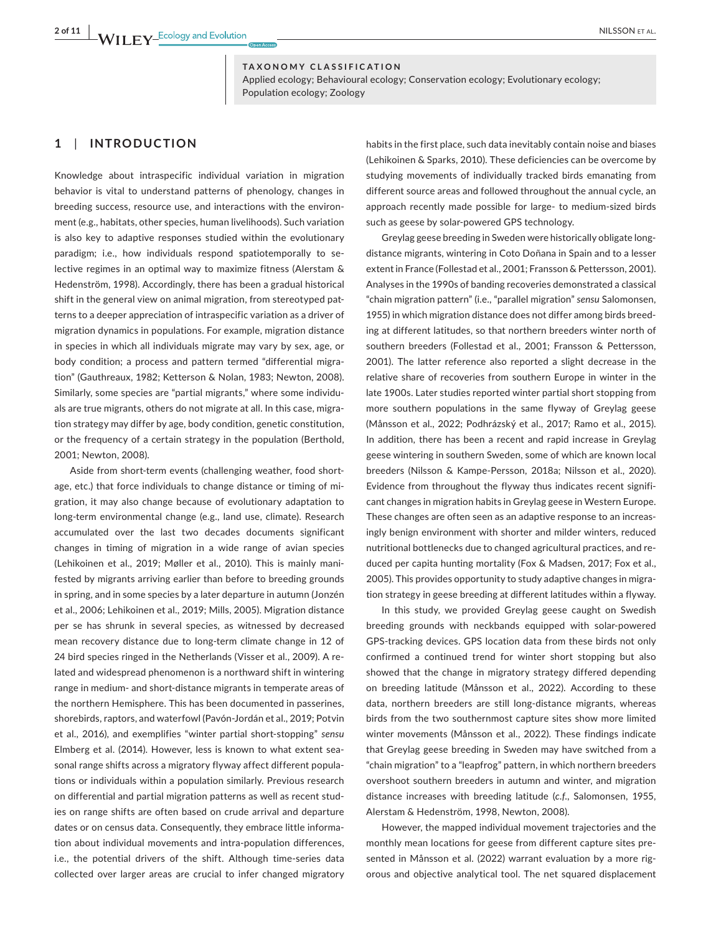**TAXONOMY CLASSIFICATION**

Applied ecology; Behavioural ecology; Conservation ecology; Evolutionary ecology; Population ecology; Zoology

# **1**  | **INTRODUCTION**

Knowledge about intraspecific individual variation in migration behavior is vital to understand patterns of phenology, changes in breeding success, resource use, and interactions with the environment (e.g., habitats, other species, human livelihoods). Such variation is also key to adaptive responses studied within the evolutionary paradigm; i.e., how individuals respond spatiotemporally to selective regimes in an optimal way to maximize fitness (Alerstam & Hedenström, 1998). Accordingly, there has been a gradual historical shift in the general view on animal migration, from stereotyped patterns to a deeper appreciation of intraspecific variation as a driver of migration dynamics in populations. For example, migration distance in species in which all individuals migrate may vary by sex, age, or body condition; a process and pattern termed "differential migration" (Gauthreaux, 1982; Ketterson & Nolan, 1983; Newton, 2008). Similarly, some species are "partial migrants," where some individuals are true migrants, others do not migrate at all. In this case, migration strategy may differ by age, body condition, genetic constitution, or the frequency of a certain strategy in the population (Berthold, 2001; Newton, 2008).

Aside from short-term events (challenging weather, food shortage, etc.) that force individuals to change distance or timing of migration, it may also change because of evolutionary adaptation to long-term environmental change (e.g., land use, climate). Research accumulated over the last two decades documents significant changes in timing of migration in a wide range of avian species (Lehikoinen et al., 2019; Møller et al., 2010). This is mainly manifested by migrants arriving earlier than before to breeding grounds in spring, and in some species by a later departure in autumn (Jonzén et al., 2006; Lehikoinen et al., 2019; Mills, 2005). Migration distance per se has shrunk in several species, as witnessed by decreased mean recovery distance due to long-term climate change in 12 of 24 bird species ringed in the Netherlands (Visser et al., 2009). A related and widespread phenomenon is a northward shift in wintering range in medium- and short-distance migrants in temperate areas of the northern Hemisphere. This has been documented in passerines, shorebirds, raptors, and waterfowl (Pavón-Jordán et al., 2019; Potvin et al., 2016), and exemplifies "winter partial short-stopping" *sensu* Elmberg et al. (2014). However, less is known to what extent seasonal range shifts across a migratory flyway affect different populations or individuals within a population similarly. Previous research on differential and partial migration patterns as well as recent studies on range shifts are often based on crude arrival and departure dates or on census data. Consequently, they embrace little information about individual movements and intra-population differences, i.e., the potential drivers of the shift. Although time-series data collected over larger areas are crucial to infer changed migratory

habits in the first place, such data inevitably contain noise and biases (Lehikoinen & Sparks, 2010). These deficiencies can be overcome by studying movements of individually tracked birds emanating from different source areas and followed throughout the annual cycle, an approach recently made possible for large- to medium-sized birds such as geese by solar-powered GPS technology.

Greylag geese breeding in Sweden were historically obligate longdistance migrants, wintering in Coto Doñana in Spain and to a lesser extent in France (Follestad et al., 2001; Fransson & Pettersson, 2001). Analyses in the 1990s of banding recoveries demonstrated a classical "chain migration pattern" (i.e., "parallel migration" *sensu* Salomonsen, 1955) in which migration distance does not differ among birds breeding at different latitudes, so that northern breeders winter north of southern breeders (Follestad et al., 2001; Fransson & Pettersson, 2001). The latter reference also reported a slight decrease in the relative share of recoveries from southern Europe in winter in the late 1900s. Later studies reported winter partial short stopping from more southern populations in the same flyway of Greylag geese (Månsson et al., 2022; Podhrázský et al., 2017; Ramo et al., 2015). In addition, there has been a recent and rapid increase in Greylag geese wintering in southern Sweden, some of which are known local breeders (Nilsson & Kampe-Persson, 2018a; Nilsson et al., 2020). Evidence from throughout the flyway thus indicates recent significant changes in migration habits in Greylag geese in Western Europe. These changes are often seen as an adaptive response to an increasingly benign environment with shorter and milder winters, reduced nutritional bottlenecks due to changed agricultural practices, and reduced per capita hunting mortality (Fox & Madsen, 2017; Fox et al., 2005). This provides opportunity to study adaptive changes in migration strategy in geese breeding at different latitudes within a flyway.

In this study, we provided Greylag geese caught on Swedish breeding grounds with neckbands equipped with solar-powered GPS-tracking devices. GPS location data from these birds not only confirmed a continued trend for winter short stopping but also showed that the change in migratory strategy differed depending on breeding latitude (Månsson et al., 2022). According to these data, northern breeders are still long-distance migrants, whereas birds from the two southernmost capture sites show more limited winter movements (Månsson et al., 2022). These findings indicate that Greylag geese breeding in Sweden may have switched from a "chain migration" to a "leapfrog" pattern, in which northern breeders overshoot southern breeders in autumn and winter, and migration distance increases with breeding latitude (*c*.*f*., Salomonsen, 1955, Alerstam & Hedenström, 1998, Newton, 2008).

However, the mapped individual movement trajectories and the monthly mean locations for geese from different capture sites presented in Månsson et al. (2022) warrant evaluation by a more rigorous and objective analytical tool. The net squared displacement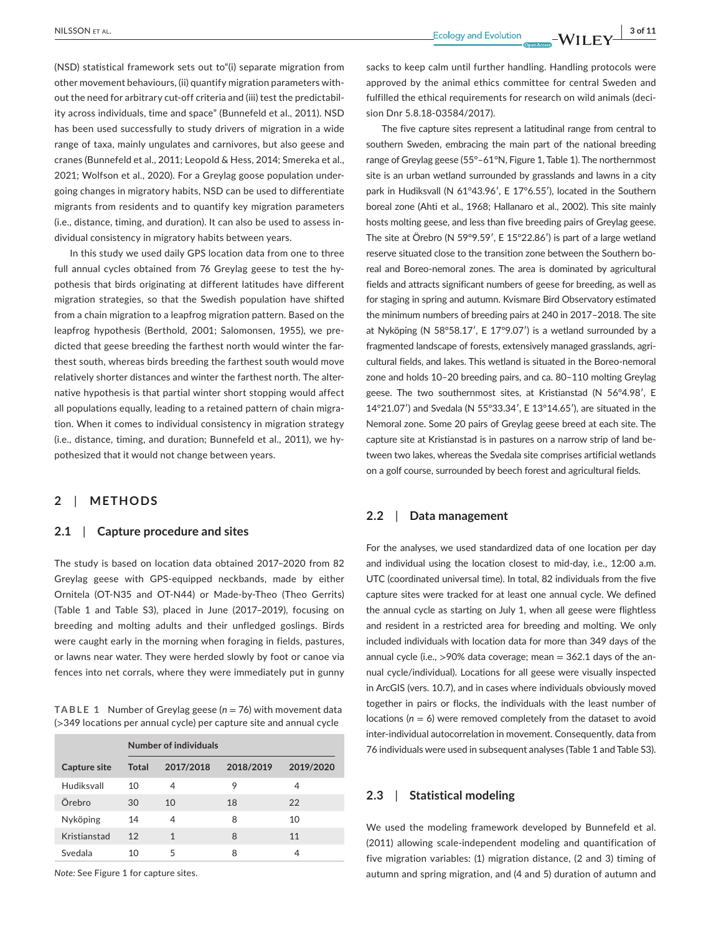(NSD) statistical framework sets out to"(i) separate migration from other movement behaviours, (ii) quantify migration parameters without the need for arbitrary cut-off criteria and (iii) test the predictability across individuals, time and space" (Bunnefeld et al., 2011). NSD has been used successfully to study drivers of migration in a wide range of taxa, mainly ungulates and carnivores, but also geese and cranes (Bunnefeld et al., 2011; Leopold & Hess, 2014; Smereka et al., 2021; Wolfson et al., 2020). For a Greylag goose population undergoing changes in migratory habits, NSD can be used to differentiate migrants from residents and to quantify key migration parameters (i.e., distance, timing, and duration). It can also be used to assess individual consistency in migratory habits between years.

In this study we used daily GPS location data from one to three full annual cycles obtained from 76 Greylag geese to test the hypothesis that birds originating at different latitudes have different migration strategies, so that the Swedish population have shifted from a chain migration to a leapfrog migration pattern. Based on the leapfrog hypothesis (Berthold, 2001; Salomonsen, 1955), we predicted that geese breeding the farthest north would winter the farthest south, whereas birds breeding the farthest south would move relatively shorter distances and winter the farthest north. The alternative hypothesis is that partial winter short stopping would affect all populations equally, leading to a retained pattern of chain migration. When it comes to individual consistency in migration strategy (i.e., distance, timing, and duration; Bunnefeld et al., 2011), we hypothesized that it would not change between years.

# **2**  | **METHODS**

### **2.1**  | **Capture procedure and sites**

The study is based on location data obtained 2017–2020 from 82 Greylag geese with GPS-equipped neckbands, made by either Ornitela (OT-N35 and OT-N44) or Made-by-Theo (Theo Gerrits) (Table 1 and Table S3), placed in June (2017–2019), focusing on breeding and molting adults and their unfledged goslings. Birds were caught early in the morning when foraging in fields, pastures, or lawns near water. They were herded slowly by foot or canoe via fences into net corrals, where they were immediately put in gunny

**TABLE 1** Number of Greylag geese (*n* = 76) with movement data (>349 locations per annual cycle) per capture site and annual cycle

|              | Number of individuals |              |           |           |  |  |  |  |
|--------------|-----------------------|--------------|-----------|-----------|--|--|--|--|
| Capture site | <b>Total</b>          | 2017/2018    | 2018/2019 | 2019/2020 |  |  |  |  |
| Hudiksvall   | 10                    | 4            | 9         | 4         |  |  |  |  |
| Örebro       | 30                    | 10           | 18        | 22        |  |  |  |  |
| Nyköping     | 14                    | 4            | 8         | 10        |  |  |  |  |
| Kristianstad | 12                    | $\mathbf{1}$ | 8         | 11        |  |  |  |  |
| Svedala      | 10                    | 5            | 8         | 4         |  |  |  |  |

*Note:* See Figure 1 for capture sites.

sacks to keep calm until further handling. Handling protocols were approved by the animal ethics committee for central Sweden and fulfilled the ethical requirements for research on wild animals (decision Dnr 5.8.18-03584/2017).

The five capture sites represent a latitudinal range from central to southern Sweden, embracing the main part of the national breeding range of Greylag geese (55°–61°N, Figure 1, Table 1). The northernmost site is an urban wetland surrounded by grasslands and lawns in a city park in Hudiksvall (N 61°43.96′, E 17°6.55′), located in the Southern boreal zone (Ahti et al., 1968; Hallanaro et al., 2002). This site mainly hosts molting geese, and less than five breeding pairs of Greylag geese. The site at Örebro (N 59°9.59′, E 15°22.86′) is part of a large wetland reserve situated close to the transition zone between the Southern boreal and Boreo-nemoral zones. The area is dominated by agricultural fields and attracts significant numbers of geese for breeding, as well as for staging in spring and autumn. Kvismare Bird Observatory estimated the minimum numbers of breeding pairs at 240 in 2017–2018. The site at Nyköping (N 58°58.17′, E 17°9.07′) is a wetland surrounded by a fragmented landscape of forests, extensively managed grasslands, agricultural fields, and lakes. This wetland is situated in the Boreo-nemoral zone and holds 10–20 breeding pairs, and ca. 80–110 molting Greylag geese. The two southernmost sites, at Kristianstad (N 56°4.98′, E 14°21.07′) and Svedala (N 55°33.34′, E 13°14.65′), are situated in the Nemoral zone. Some 20 pairs of Greylag geese breed at each site. The capture site at Kristianstad is in pastures on a narrow strip of land between two lakes, whereas the Svedala site comprises artificial wetlands on a golf course, surrounded by beech forest and agricultural fields.

# **2.2**  | **Data management**

For the analyses, we used standardized data of one location per day and individual using the location closest to mid-day, i.e., 12:00 a.m. UTC (coordinated universal time). In total, 82 individuals from the five capture sites were tracked for at least one annual cycle. We defined the annual cycle as starting on July 1, when all geese were flightless and resident in a restricted area for breeding and molting. We only included individuals with location data for more than 349 days of the annual cycle (i.e.,  $>$ 90% data coverage; mean = 362.1 days of the annual cycle/individual). Locations for all geese were visually inspected in ArcGIS (vers. 10.7), and in cases where individuals obviously moved together in pairs or flocks, the individuals with the least number of locations (*n* = 6) were removed completely from the dataset to avoid inter-individual autocorrelation in movement. Consequently, data from 76 individuals were used in subsequent analyses (Table 1 and Table S3).

# **2.3**  | **Statistical modeling**

We used the modeling framework developed by Bunnefeld et al. (2011) allowing scale-independent modeling and quantification of five migration variables: (1) migration distance, (2 and 3) timing of autumn and spring migration, and (4 and 5) duration of autumn and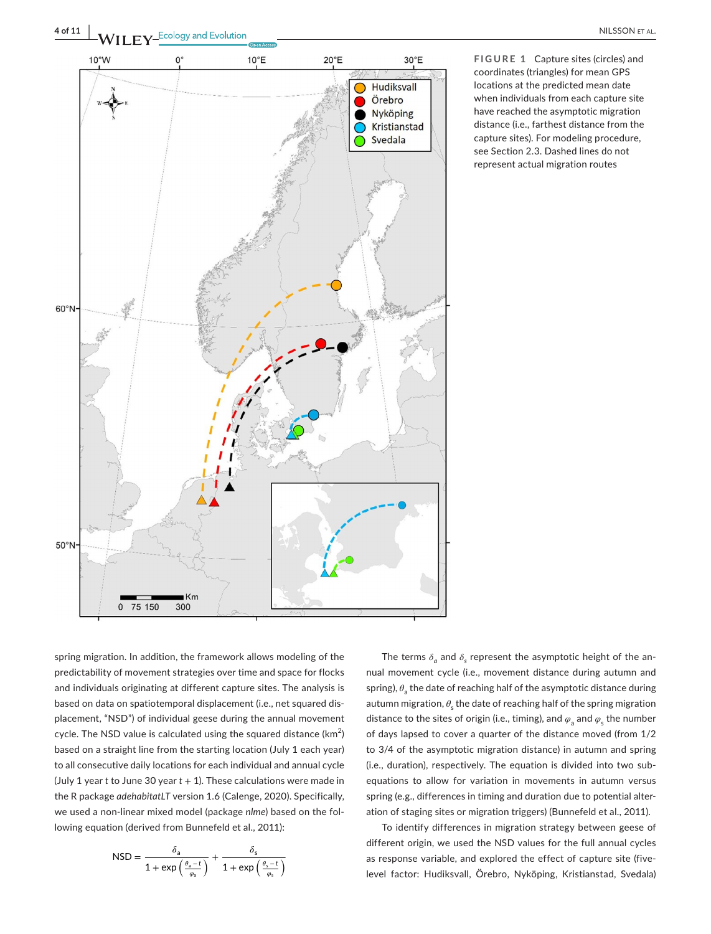

**FIGURE 1** Capture sites (circles) and coordinates (triangles) for mean GPS locations at the predicted mean date when individuals from each capture site have reached the asymptotic migration distance (i.e., farthest distance from the capture sites). For modeling procedure, see Section 2.3. Dashed lines do not represent actual migration routes

spring migration. In addition, the framework allows modeling of the predictability of movement strategies over time and space for flocks and individuals originating at different capture sites. The analysis is based on data on spatiotemporal displacement (i.e., net squared displacement, "NSD") of individual geese during the annual movement cycle. The NSD value is calculated using the squared distance (km $^2$ ) based on a straight line from the starting location (July 1 each year) to all consecutive daily locations for each individual and annual cycle (July 1 year *t* to June 30 year *t* + 1). These calculations were made in the R package *adehabitatLT* version 1.6 (Calenge, 2020). Specifically, we used a non-linear mixed model (package *nlme*) based on the following equation (derived from Bunnefeld et al., 2011):

$$
\text{NSD} = \frac{\delta_{\text{a}}}{1+\text{exp}\left(\frac{\theta_{\text{a}}-t}{\varphi_{\text{a}}}\right)} + \frac{\delta_{\text{s}}}{1+\text{exp}\left(\frac{\theta_{\text{s}}-t}{\varphi_{\text{s}}}\right)}
$$

The terms  $\delta$ <sup>*a*</sup> and  $\delta$ <sup>*s*</sup> represent the asymptotic height of the annual movement cycle (i.e., movement distance during autumn and spring), *θ*<sup>a</sup> the date of reaching half of the asymptotic distance during autumn migration,  $\theta_{\rm s}$  the date of reaching half of the spring migration distance to the sites of origin (i.e., timing), and  $\varphi$ <sub>a</sub> and  $\varphi$ <sub>s</sub> the number of days lapsed to cover a quarter of the distance moved (from 1/2 to 3/4 of the asymptotic migration distance) in autumn and spring (i.e., duration), respectively. The equation is divided into two subequations to allow for variation in movements in autumn versus spring (e.g., differences in timing and duration due to potential alteration of staging sites or migration triggers) (Bunnefeld et al., 2011).

To identify differences in migration strategy between geese of different origin, we used the NSD values for the full annual cycles as response variable, and explored the effect of capture site (fivelevel factor: Hudiksvall, Örebro, Nyköping, Kristianstad, Svedala)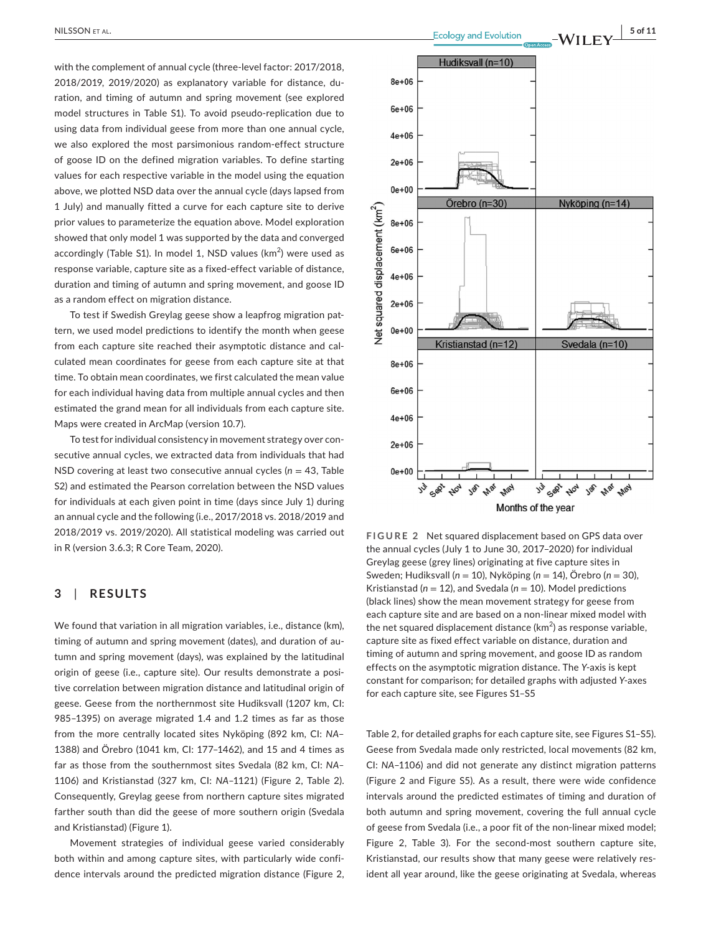with the complement of annual cycle (three-level factor: 2017/2018, 2018/2019, 2019/2020) as explanatory variable for distance, duration, and timing of autumn and spring movement (see explored model structures in Table S1). To avoid pseudo-replication due to using data from individual geese from more than one annual cycle, we also explored the most parsimonious random-effect structure of goose ID on the defined migration variables. To define starting values for each respective variable in the model using the equation above, we plotted NSD data over the annual cycle (days lapsed from 1 July) and manually fitted a curve for each capture site to derive prior values to parameterize the equation above. Model exploration showed that only model 1 was supported by the data and converged accordingly (Table S1). In model 1, NSD values (km $^2$ ) were used as response variable, capture site as a fixed-effect variable of distance, duration and timing of autumn and spring movement, and goose ID as a random effect on migration distance.

To test if Swedish Greylag geese show a leapfrog migration pattern, we used model predictions to identify the month when geese from each capture site reached their asymptotic distance and calculated mean coordinates for geese from each capture site at that time. To obtain mean coordinates, we first calculated the mean value for each individual having data from multiple annual cycles and then estimated the grand mean for all individuals from each capture site. Maps were created in ArcMap (version 10.7).

To test for individual consistency in movement strategy over consecutive annual cycles, we extracted data from individuals that had NSD covering at least two consecutive annual cycles (*n* = 43, Table S2) and estimated the Pearson correlation between the NSD values for individuals at each given point in time (days since July 1) during an annual cycle and the following (i.e., 2017/2018 vs. 2018/2019 and 2018/2019 vs. 2019/2020). All statistical modeling was carried out in R (version 3.6.3; R Core Team, 2020).

# **3**  | **RESULTS**

We found that variation in all migration variables, i.e., distance (km), timing of autumn and spring movement (dates), and duration of autumn and spring movement (days), was explained by the latitudinal origin of geese (i.e., capture site). Our results demonstrate a positive correlation between migration distance and latitudinal origin of geese. Geese from the northernmost site Hudiksvall (1207 km, CI: 985–1395) on average migrated 1.4 and 1.2 times as far as those from the more centrally located sites Nyköping (892 km, CI: *NA*– 1388) and Örebro (1041 km, CI: 177–1462), and 15 and 4 times as far as those from the southernmost sites Svedala (82 km, CI: *NA–* 1106) and Kristianstad (327 km, CI: *NA*–1121) (Figure 2, Table 2). Consequently, Greylag geese from northern capture sites migrated farther south than did the geese of more southern origin (Svedala and Kristianstad) (Figure 1).

Movement strategies of individual geese varied considerably both within and among capture sites, with particularly wide confidence intervals around the predicted migration distance (Figure 2,



**FIGURE 2** Net squared displacement based on GPS data over the annual cycles (July 1 to June 30, 2017–2020) for individual Greylag geese (grey lines) originating at five capture sites in Sweden; Hudiksvall (*n* = 10), Nyköping (*n* = 14), Örebro (*n* = 30), Kristianstad ( $n = 12$ ), and Svedala ( $n = 10$ ). Model predictions (black lines) show the mean movement strategy for geese from each capture site and are based on a non-linear mixed model with the net squared displacement distance (km<sup>2</sup>) as response variable, capture site as fixed effect variable on distance, duration and timing of autumn and spring movement, and goose ID as random effects on the asymptotic migration distance. The *Y*-axis is kept constant for comparison; for detailed graphs with adjusted *Y*-axes for each capture site, see Figures S1–S5

Table 2, for detailed graphs for each capture site, see Figures S1–S5). Geese from Svedala made only restricted, local movements (82 km, CI: *NA*–1106) and did not generate any distinct migration patterns (Figure 2 and Figure S5). As a result, there were wide confidence intervals around the predicted estimates of timing and duration of both autumn and spring movement, covering the full annual cycle of geese from Svedala (i.e., a poor fit of the non-linear mixed model; Figure 2, Table 3). For the second-most southern capture site, Kristianstad, our results show that many geese were relatively resident all year around, like the geese originating at Svedala, whereas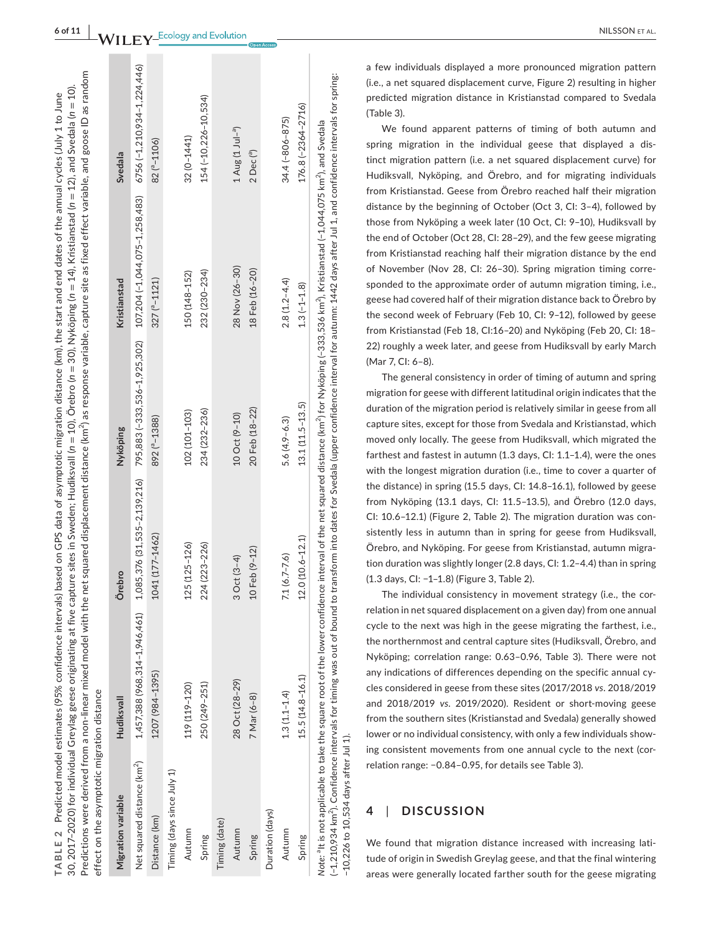| effect on the asymptotic migration distance |                               |                 |                 | Predictions were derived from a non-linear mixed model with the net squared displacement distance (km^) as response variable, capture site as fixed effect variable, and goose ID as random<br>30, 2017–2020) for individual Greylag geese originating at five capture sites in Sweden; Hudiksvall (n = 10), Örebro (n = 30), Nyköping (n = 14), Kristianstad (n = 12), and Svedala (n = 10).<br>TABLE 2 Predicted model estimates (95% confidence intervals) based on GPS data of asymptotic migration distance (km), the start and end dates of the annual cycles (July 1 to June |                         |
|---------------------------------------------|-------------------------------|-----------------|-----------------|-------------------------------------------------------------------------------------------------------------------------------------------------------------------------------------------------------------------------------------------------------------------------------------------------------------------------------------------------------------------------------------------------------------------------------------------------------------------------------------------------------------------------------------------------------------------------------------|-------------------------|
| Migration variable                          | <b>Hudiksvall</b>             | Örebro          | Nyköping        | Kristianstad                                                                                                                                                                                                                                                                                                                                                                                                                                                                                                                                                                        | Svedala                 |
| Net squared distance (km <sup>2</sup> )     | 1,457,388 (968,314-1,946,461) |                 |                 | 1,085,376 (31,535-2,139,216) 795,883 (-333,536-1,925,302) 107,204 (-1,044,075-1,258,483) 6756 (-1,210,934-1,224,446)                                                                                                                                                                                                                                                                                                                                                                                                                                                                |                         |
| Distance (km)                               | 1207 (984-1395)               | 1041 (177-1462) | 892 ( $-1388$ ) | $327(^{e}-1121)$                                                                                                                                                                                                                                                                                                                                                                                                                                                                                                                                                                    | 82 <sup>(a</sup> -1106) |
| Timing (days since July 1)                  |                               |                 |                 |                                                                                                                                                                                                                                                                                                                                                                                                                                                                                                                                                                                     |                         |
| Autumn                                      | 119 (119-120)                 | 125 (125-126)   | 102 (101-103)   | 150 (148-152)                                                                                                                                                                                                                                                                                                                                                                                                                                                                                                                                                                       | $32(0 - 1441)$          |
| Spring                                      | 250 (249-251)                 | 224 (223-226)   | 234 (232-236)   | 232 (230-234)                                                                                                                                                                                                                                                                                                                                                                                                                                                                                                                                                                       | 154 (-10.226-10.534)    |

Timing (date)

Autumn

Spring

Timing (date)

Duration (days)

Autumn

Duration (days)

Autumn 28 Nov (28–20) 3 Oct (38–30) 28 Nov (28–30) 28 Oct (38–30) 10 Oct (38–30) 1 Oct (38–30) 1 Aug (1 Jule–3 Spring 7 Mar (6–8) 10 Feb (9–12) 10 Feb (9–12) 20 Feb (18–22) 18 Feb (16–20) 2 Dec (°)

10 Oct (9-10)

20 Feb (18-22)

10 Feb (9-12)

3 Oct (3-4)

28 Oct (28-29)

7 Mar (6-8)

(-1,210,934 km<sup>2</sup>). Confidence intervals for timing was out of bound to transform into dates for Svedala (upper confidence interval for autumn: 1442 days after Jul 1, and confidence intervals for spring: (−1,210,934 km2). Confidence intervals for timing was out of bound to transform into dates for Svedala (upper confidence interval for autumn: 1442 days after Jul 1, and confidence intervals for spring: 176.8 (-2364-2716) Spring 15.5 (14.8–16.1) 15.5 (14.8–12.0 (10.6–12.1) 12.1 (11.5–13.5) 13.1 (11.5–13.5) 13.1 (−1.1.8) 176.8 (−2364–2716) Note: <sup>a</sup>lt is not applicable to take the square root of the lower confidence interval of the net squared distance (km<sup>2</sup>) for Nyköping (~333,536 km<sup>2</sup>), Kristianstad (~1,044,075 km<sup>2</sup>), and Svedala N*ote:* <sup>a</sup>It is not applicable to take the square root of the lower confidence interval of the net squared distance (km<sup>2</sup>) for Nyköping (−333,536 km<sup>2</sup>), Kristianstad (−1,044,075 km<sup>2</sup>), and Svedala  $1.3(-1-1.8)$ 13.1 (11.5-13.5) 12.0 (10.6-12.1)  $15.5(14.8 - 16.1)$  $-10,226$  to  $10,534$  days after Jul 1). −10,226 to 10,534 days after Jul 1).Spring

Autumn 1.3 (1.1–1.4) 7.1 (6.7–7.6) 5.6 (4.9–6.3) 2.8 (1.2–4.4) 34.4 (−806–875)

 $7.1(6.7 - 7.6)$ 

 $1.3(1.1 - 1.4)$ 

 $5.6(4.9 - 6.3)$ 

34.4 (-806-875)

 $2.8(1.2 - 4.4)$ 

 $1$  Aug  $(1$  Jul-<sup>a</sup>) 2 Dec<sup>(a)</sup>

28 Nov (26-30) 18 Feb (16-20) AL.

a few individuals displayed a more pronounced migration pattern (i.e., a net squared displacement curve, Figure 2) resulting in higher predicted migration distance in Kristianstad compared to Svedala (Table 3).

We found apparent patterns of timing of both autumn and spring migration in the individual geese that displayed a dis tinct migration pattern (i.e. a net squared displacement curve) for Hudiksvall, Nyköping, and Örebro, and for migrating individuals from Kristianstad. Geese from Örebro reached half their migration distance by the beginning of October (Oct 3, CI: 3–4), followed by those from Nyköping a week later (10 Oct, CI: 9–10), Hudiksvall by the end of October (Oct 28, CI: 28–29), and the few geese migrating from Kristianstad reaching half their migration distance by the end of November (Nov 28, CI: 26–30). Spring migration timing corre sponded to the approximate order of autumn migration timing, i.e., geese had covered half of their migration distance back to Örebro by the second week of February (Feb 10, CI: 9–12), followed by geese from Kristianstad (Feb 18, CI:16–20) and Nyköping (Feb 20, CI: 18– 22) roughly a week later, and geese from Hudiksvall by early March (Mar 7, CI: 6–8).

The general consistency in order of timing of autumn and spring migration for geese with different latitudinal origin indicates that the duration of the migration period is relatively similar in geese from all capture sites, except for those from Svedala and Kristianstad, which moved only locally. The geese from Hudiksvall, which migrated the farthest and fastest in autumn (1.3 days, CI: 1.1–1.4), were the ones with the longest migration duration (i.e., time to cover a quarter of the distance) in spring (15.5 days, CI: 14.8–16.1), followed by geese from Nyköping (13.1 days, CI: 11.5–13.5), and Örebro (12.0 days, CI: 10.6–12.1) (Figure 2, Table 2). The migration duration was con sistently less in autumn than in spring for geese from Hudiksvall, Örebro, and Nyköping. For geese from Kristianstad, autumn migra tion duration was slightly longer (2.8 days, CI: 1.2–4.4) than in spring (1.3 days, CI: −1–1.8) (Figure 3, Table 2).

The individual consistency in movement strategy (i.e., the cor relation in net squared displacement on a given day) from one annual cycle to the next was high in the geese migrating the farthest, i.e., the northernmost and central capture sites (Hudiksvall, Örebro, and Nyköping; correlation range: 0.63–0.96, Table 3). There were not any indications of differences depending on the specific annual cy cles considered in geese from these sites (2017/2018 *vs* . 2018/2019 and 2018/2019 *vs* . 2019/2020). Resident or short-moving geese from the southern sites (Kristianstad and Svedala) generally showed lower or no individual consistency, with only a few individuals show ing consistent movements from one annual cycle to the next (cor relation range: −0.84–0.95, for details see Table 3).

#### **4**  | **DISCUSSION**

We found that migration distance increased with increasing lati tude of origin in Swedish Greylag geese, and that the final wintering areas were generally located farther south for the geese migrating

 $\mathbf{F} \mathbf{V}$ <sup>Ecology</sup> and Evolution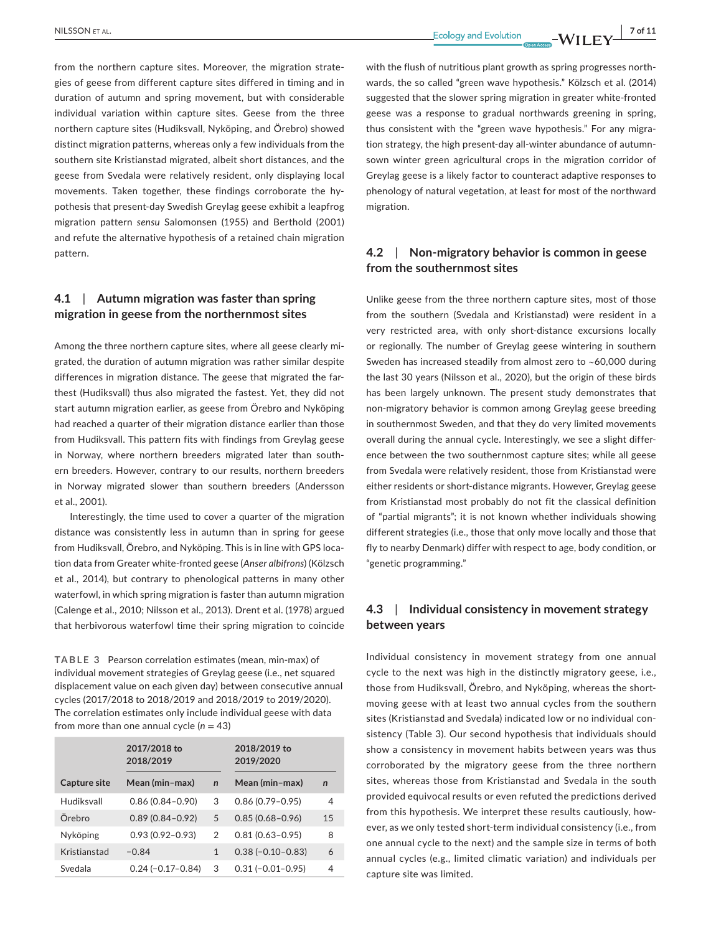from the northern capture sites. Moreover, the migration strategies of geese from different capture sites differed in timing and in duration of autumn and spring movement, but with considerable individual variation within capture sites. Geese from the three northern capture sites (Hudiksvall, Nyköping, and Örebro) showed distinct migration patterns, whereas only a few individuals from the southern site Kristianstad migrated, albeit short distances, and the geese from Svedala were relatively resident, only displaying local movements. Taken together, these findings corroborate the hypothesis that present-day Swedish Greylag geese exhibit a leapfrog migration pattern *sensu* Salomonsen (1955) and Berthold (2001) and refute the alternative hypothesis of a retained chain migration pattern.

# **4.1**  | **Autumn migration was faster than spring migration in geese from the northernmost sites**

Among the three northern capture sites, where all geese clearly migrated, the duration of autumn migration was rather similar despite differences in migration distance. The geese that migrated the farthest (Hudiksvall) thus also migrated the fastest. Yet, they did not start autumn migration earlier, as geese from Örebro and Nyköping had reached a quarter of their migration distance earlier than those from Hudiksvall. This pattern fits with findings from Greylag geese in Norway, where northern breeders migrated later than southern breeders. However, contrary to our results, northern breeders in Norway migrated slower than southern breeders (Andersson et al., 2001).

Interestingly, the time used to cover a quarter of the migration distance was consistently less in autumn than in spring for geese from Hudiksvall, Örebro, and Nyköping. This is in line with GPS location data from Greater white-fronted geese (*Anser albifrons*) (Kölzsch et al., 2014), but contrary to phenological patterns in many other waterfowl, in which spring migration is faster than autumn migration (Calenge et al., 2010; Nilsson et al., 2013). Drent et al. (1978) argued that herbivorous waterfowl time their spring migration to coincide

**TABLE 3** Pearson correlation estimates (mean, min-max) of individual movement strategies of Greylag geese (i.e., net squared displacement value on each given day) between consecutive annual cycles (2017/2018 to 2018/2019 and 2018/2019 to 2019/2020). The correlation estimates only include individual geese with data from more than one annual cycle  $(n = 43)$ 

|                     | 2017/2018 to<br>2018/2019 |              | 2018/2019 to<br>2019/2020 |              |
|---------------------|---------------------------|--------------|---------------------------|--------------|
| <b>Capture site</b> | Mean (min-max)            | $\mathbf n$  | Mean (min-max)            | $\mathsf{n}$ |
| Hudiksvall          | $0.86(0.84 - 0.90)$       | 3            | $0.86(0.79 - 0.95)$       | 4            |
| Örebro              | $0.89(0.84 - 0.92)$       | 5            | $0.85(0.68 - 0.96)$       | 15           |
| Nyköping            | $0.93(0.92 - 0.93)$       | 2            | $0.81(0.63 - 0.95)$       | 8            |
| Kristianstad        | $-0.84$                   | $\mathbf{1}$ | $0.38(-0.10-0.83)$        | 6            |
| Svedala             | $0.24 (-0.17 - 0.84)$     | 3            | $0.31(-0.01-0.95)$        | 4            |

with the flush of nutritious plant growth as spring progresses northwards, the so called "green wave hypothesis." Kölzsch et al. (2014) suggested that the slower spring migration in greater white-fronted geese was a response to gradual northwards greening in spring, thus consistent with the "green wave hypothesis." For any migration strategy, the high present-day all-winter abundance of autumnsown winter green agricultural crops in the migration corridor of Greylag geese is a likely factor to counteract adaptive responses to phenology of natural vegetation, at least for most of the northward migration.

# **4.2**  | **Non-migratory behavior is common in geese from the southernmost sites**

Unlike geese from the three northern capture sites, most of those from the southern (Svedala and Kristianstad) were resident in a very restricted area, with only short-distance excursions locally or regionally. The number of Greylag geese wintering in southern Sweden has increased steadily from almost zero to ~60,000 during the last 30 years (Nilsson et al., 2020), but the origin of these birds has been largely unknown. The present study demonstrates that non-migratory behavior is common among Greylag geese breeding in southernmost Sweden, and that they do very limited movements overall during the annual cycle. Interestingly, we see a slight difference between the two southernmost capture sites; while all geese from Svedala were relatively resident, those from Kristianstad were either residents or short-distance migrants. However, Greylag geese from Kristianstad most probably do not fit the classical definition of "partial migrants"; it is not known whether individuals showing different strategies (i.e., those that only move locally and those that fly to nearby Denmark) differ with respect to age, body condition, or "genetic programming."

# **4.3**  | **Individual consistency in movement strategy between years**

Individual consistency in movement strategy from one annual cycle to the next was high in the distinctly migratory geese, i.e., those from Hudiksvall, Örebro, and Nyköping, whereas the shortmoving geese with at least two annual cycles from the southern sites (Kristianstad and Svedala) indicated low or no individual consistency (Table 3). Our second hypothesis that individuals should show a consistency in movement habits between years was thus corroborated by the migratory geese from the three northern sites, whereas those from Kristianstad and Svedala in the south provided equivocal results or even refuted the predictions derived from this hypothesis. We interpret these results cautiously, however, as we only tested short-term individual consistency (i.e., from one annual cycle to the next) and the sample size in terms of both annual cycles (e.g., limited climatic variation) and individuals per capture site was limited.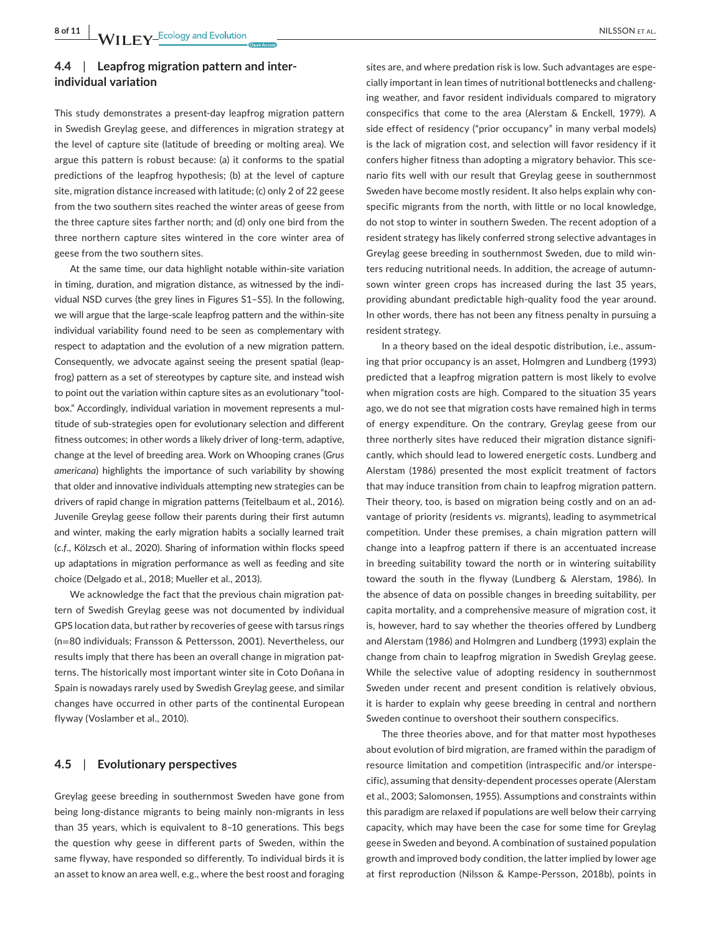# **4.4**  | **Leapfrog migration pattern and interindividual variation**

This study demonstrates a present-day leapfrog migration pattern in Swedish Greylag geese, and differences in migration strategy at the level of capture site (latitude of breeding or molting area). We argue this pattern is robust because: (a) it conforms to the spatial predictions of the leapfrog hypothesis; (b) at the level of capture site, migration distance increased with latitude; (c) only 2 of 22 geese from the two southern sites reached the winter areas of geese from the three capture sites farther north; and (d) only one bird from the three northern capture sites wintered in the core winter area of geese from the two southern sites.

At the same time, our data highlight notable within-site variation in timing, duration, and migration distance, as witnessed by the individual NSD curves (the grey lines in Figures S1–S5). In the following, we will argue that the large-scale leapfrog pattern and the within-site individual variability found need to be seen as complementary with respect to adaptation and the evolution of a new migration pattern. Consequently, we advocate against seeing the present spatial (leapfrog) pattern as a set of stereotypes by capture site, and instead wish to point out the variation within capture sites as an evolutionary "toolbox." Accordingly, individual variation in movement represents a multitude of sub-strategies open for evolutionary selection and different fitness outcomes; in other words a likely driver of long-term, adaptive, change at the level of breeding area. Work on Whooping cranes (*Grus americana*) highlights the importance of such variability by showing that older and innovative individuals attempting new strategies can be drivers of rapid change in migration patterns (Teitelbaum et al., 2016). Juvenile Greylag geese follow their parents during their first autumn and winter, making the early migration habits a socially learned trait (*c*.*f*., Kölzsch et al., 2020). Sharing of information within flocks speed up adaptations in migration performance as well as feeding and site choice (Delgado et al., 2018; Mueller et al., 2013).

We acknowledge the fact that the previous chain migration pattern of Swedish Greylag geese was not documented by individual GPS location data, but rather by recoveries of geese with tarsus rings (n=80 individuals; Fransson & Pettersson, 2001). Nevertheless, our results imply that there has been an overall change in migration patterns. The historically most important winter site in Coto Doñana in Spain is nowadays rarely used by Swedish Greylag geese, and similar changes have occurred in other parts of the continental European flyway (Voslamber et al., 2010).

# **4.5**  | **Evolutionary perspectives**

Greylag geese breeding in southernmost Sweden have gone from being long-distance migrants to being mainly non-migrants in less than 35 years, which is equivalent to 8–10 generations. This begs the question why geese in different parts of Sweden, within the same flyway, have responded so differently. To individual birds it is an asset to know an area well, e.g., where the best roost and foraging

sites are, and where predation risk is low. Such advantages are especially important in lean times of nutritional bottlenecks and challenging weather, and favor resident individuals compared to migratory conspecifics that come to the area (Alerstam & Enckell, 1979). A side effect of residency ("prior occupancy" in many verbal models) is the lack of migration cost, and selection will favor residency if it confers higher fitness than adopting a migratory behavior. This scenario fits well with our result that Greylag geese in southernmost Sweden have become mostly resident. It also helps explain why conspecific migrants from the north, with little or no local knowledge, do not stop to winter in southern Sweden. The recent adoption of a resident strategy has likely conferred strong selective advantages in Greylag geese breeding in southernmost Sweden, due to mild winters reducing nutritional needs. In addition, the acreage of autumnsown winter green crops has increased during the last 35 years, providing abundant predictable high-quality food the year around. In other words, there has not been any fitness penalty in pursuing a resident strategy.

In a theory based on the ideal despotic distribution, i.e., assuming that prior occupancy is an asset, Holmgren and Lundberg (1993) predicted that a leapfrog migration pattern is most likely to evolve when migration costs are high. Compared to the situation 35 years ago, we do not see that migration costs have remained high in terms of energy expenditure. On the contrary, Greylag geese from our three northerly sites have reduced their migration distance significantly, which should lead to lowered energetic costs. Lundberg and Alerstam (1986) presented the most explicit treatment of factors that may induce transition from chain to leapfrog migration pattern. Their theory, too, is based on migration being costly and on an advantage of priority (residents *vs*. migrants), leading to asymmetrical competition. Under these premises, a chain migration pattern will change into a leapfrog pattern if there is an accentuated increase in breeding suitability toward the north or in wintering suitability toward the south in the flyway (Lundberg & Alerstam, 1986). In the absence of data on possible changes in breeding suitability, per capita mortality, and a comprehensive measure of migration cost, it is, however, hard to say whether the theories offered by Lundberg and Alerstam (1986) and Holmgren and Lundberg (1993) explain the change from chain to leapfrog migration in Swedish Greylag geese. While the selective value of adopting residency in southernmost Sweden under recent and present condition is relatively obvious, it is harder to explain why geese breeding in central and northern Sweden continue to overshoot their southern conspecifics.

The three theories above, and for that matter most hypotheses about evolution of bird migration, are framed within the paradigm of resource limitation and competition (intraspecific and/or interspecific), assuming that density-dependent processes operate (Alerstam et al., 2003; Salomonsen, 1955). Assumptions and constraints within this paradigm are relaxed if populations are well below their carrying capacity, which may have been the case for some time for Greylag geese in Sweden and beyond. A combination of sustained population growth and improved body condition, the latter implied by lower age at first reproduction (Nilsson & Kampe-Persson, 2018b), points in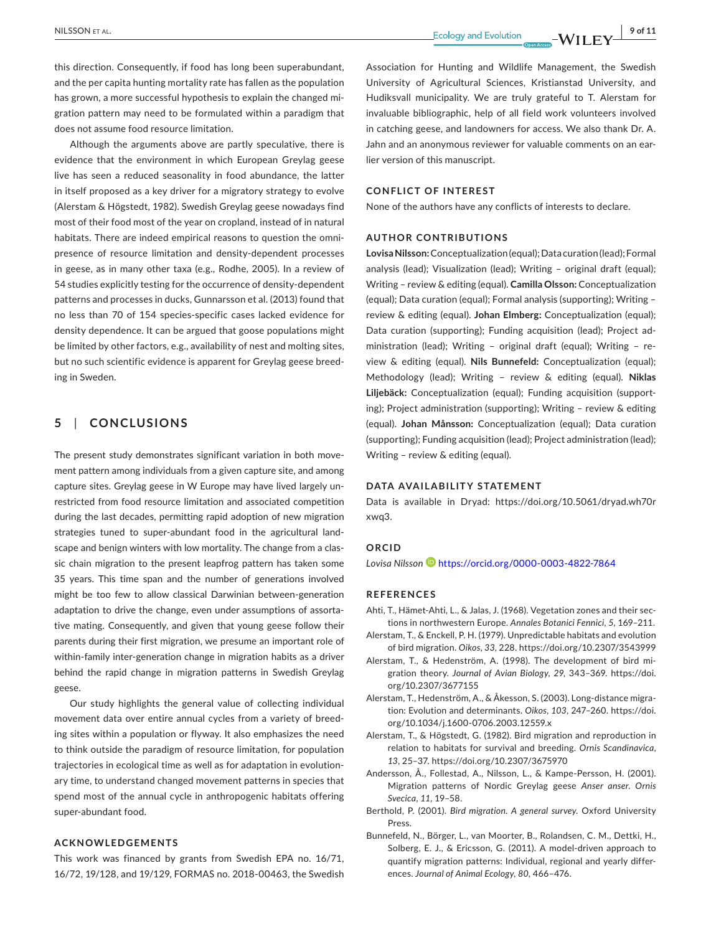NILSSON et al. **<sup>|</sup> 9 of 11**

this direction. Consequently, if food has long been superabundant, and the per capita hunting mortality rate has fallen as the population has grown, a more successful hypothesis to explain the changed migration pattern may need to be formulated within a paradigm that does not assume food resource limitation.

Although the arguments above are partly speculative, there is evidence that the environment in which European Greylag geese live has seen a reduced seasonality in food abundance, the latter in itself proposed as a key driver for a migratory strategy to evolve (Alerstam & Högstedt, 1982). Swedish Greylag geese nowadays find most of their food most of the year on cropland, instead of in natural habitats. There are indeed empirical reasons to question the omnipresence of resource limitation and density-dependent processes in geese, as in many other taxa (e.g., Rodhe, 2005). In a review of 54 studies explicitly testing for the occurrence of density-dependent patterns and processes in ducks, Gunnarsson et al. (2013) found that no less than 70 of 154 species-specific cases lacked evidence for density dependence. It can be argued that goose populations might be limited by other factors, e.g., availability of nest and molting sites, but no such scientific evidence is apparent for Greylag geese breeding in Sweden.

# **5**  | **CONCLUSIONS**

The present study demonstrates significant variation in both movement pattern among individuals from a given capture site, and among capture sites. Greylag geese in W Europe may have lived largely unrestricted from food resource limitation and associated competition during the last decades, permitting rapid adoption of new migration strategies tuned to super-abundant food in the agricultural landscape and benign winters with low mortality. The change from a classic chain migration to the present leapfrog pattern has taken some 35 years. This time span and the number of generations involved might be too few to allow classical Darwinian between-generation adaptation to drive the change, even under assumptions of assortative mating. Consequently, and given that young geese follow their parents during their first migration, we presume an important role of within-family inter-generation change in migration habits as a driver behind the rapid change in migration patterns in Swedish Greylag geese.

Our study highlights the general value of collecting individual movement data over entire annual cycles from a variety of breeding sites within a population or flyway. It also emphasizes the need to think outside the paradigm of resource limitation, for population trajectories in ecological time as well as for adaptation in evolutionary time, to understand changed movement patterns in species that spend most of the annual cycle in anthropogenic habitats offering super-abundant food.

### **ACKNOWLEDGEMENTS**

This work was financed by grants from Swedish EPA no. 16/71, 16/72, 19/128, and 19/129, FORMAS no. 2018-00463, the Swedish

Association for Hunting and Wildlife Management, the Swedish University of Agricultural Sciences, Kristianstad University, and Hudiksvall municipality. We are truly grateful to T. Alerstam for invaluable bibliographic, help of all field work volunteers involved in catching geese, and landowners for access. We also thank Dr. A. Jahn and an anonymous reviewer for valuable comments on an earlier version of this manuscript.

## **CONFLICT OF INTEREST**

None of the authors have any conflicts of interests to declare.

# **AUTHOR CONTRIBUTIONS**

**Lovisa Nilsson:**Conceptualization(equal);Data curation(lead);Formal analysis (lead); Visualization (lead); Writing – original draft (equal); Writing – review & editing (equal). **Camilla Olsson:** Conceptualization (equal); Data curation (equal); Formal analysis (supporting); Writing – review & editing (equal). **Johan Elmberg:** Conceptualization (equal); Data curation (supporting); Funding acquisition (lead); Project administration (lead); Writing – original draft (equal); Writing – review & editing (equal). **Nils Bunnefeld:** Conceptualization (equal); Methodology (lead); Writing – review & editing (equal). **Niklas Liljebäck:** Conceptualization (equal); Funding acquisition (supporting); Project administration (supporting); Writing – review & editing (equal). **Johan Månsson:** Conceptualization (equal); Data curation (supporting); Funding acquisition (lead); Project administration (lead); Writing – review & editing (equal).

## **DATA AVAILABILITY STATEMENT**

Data is available in Dryad: [https://doi.org/10.5061/dryad.wh70r](https://doi.org/10.5061/dryad.wh70rxwq3) [xwq3.](https://doi.org/10.5061/dryad.wh70rxwq3)

#### **ORCID**

*Lovisa Nilsson* <https://orcid.org/0000-0003-4822-7864>

#### **REFERENCES**

- Ahti, T., Hämet-Ahti, L., & Jalas, J. (1968). Vegetation zones and their sections in northwestern Europe. *Annales Botanici Fennici*, *5*, 169–211. Alerstam, T., & Enckell, P. H. (1979). Unpredictable habitats and evolution
- of bird migration. *Oikos*, *33*, 228. <https://doi.org/10.2307/3543999>
- Alerstam, T., & Hedenström, A. (1998). The development of bird migration theory. *Journal of Avian Biology*, *29*, 343–369. [https://doi.](https://doi.org/10.2307/3677155) [org/10.2307/3677155](https://doi.org/10.2307/3677155)
- Alerstam, T., Hedenström, A., & Åkesson, S. (2003). Long-distance migration: Evolution and determinants. *Oikos*, *103*, 247–260. [https://doi.](https://doi.org/10.1034/j.1600-0706.2003.12559.x) [org/10.1034/j.1600-0706.2003.12559.x](https://doi.org/10.1034/j.1600-0706.2003.12559.x)
- Alerstam, T., & Högstedt, G. (1982). Bird migration and reproduction in relation to habitats for survival and breeding. *Ornis Scandinavica*, *13*, 25–37. <https://doi.org/10.2307/3675970>
- Andersson, Å., Follestad, A., Nilsson, L., & Kampe-Persson, H. (2001). Migration patterns of Nordic Greylag geese *Anser anser*. *Ornis Svecica*, *11*, 19–58.
- Berthold, P. (2001). *Bird migration. A general survey*. Oxford University Press.
- Bunnefeld, N., Börger, L., van Moorter, B., Rolandsen, C. M., Dettki, H., Solberg, E. J., & Ericsson, G. (2011). A model-driven approach to quantify migration patterns: Individual, regional and yearly differences. *Journal of Animal Ecology*, *80*, 466–476.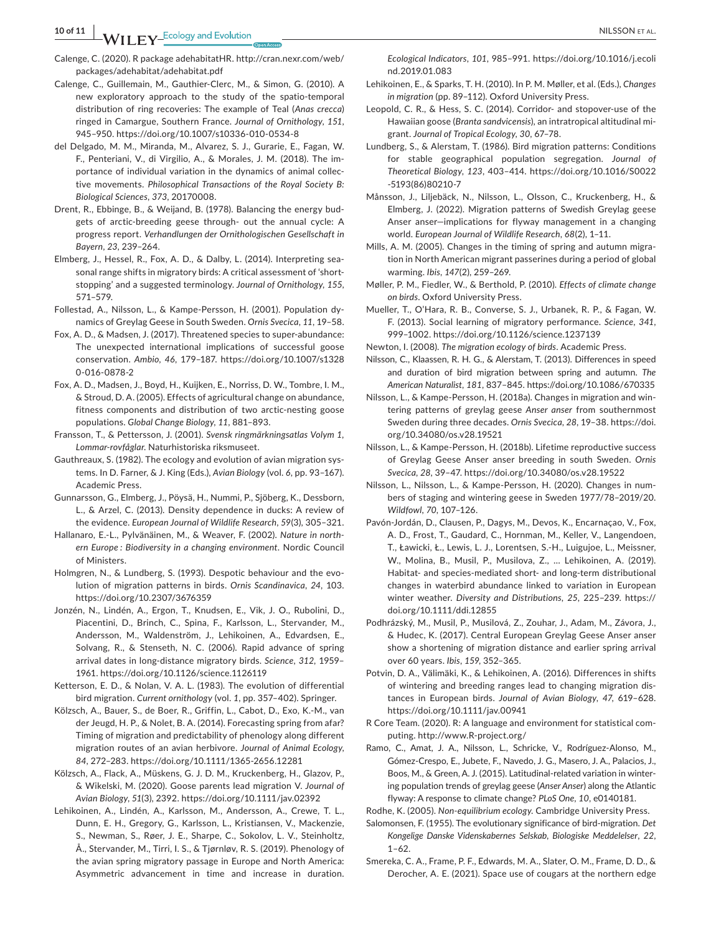**10 of 11 <sup>|</sup>**  NILSSON et al.

- Calenge, C. (2020). R package adehabitatHR. [http://cran.nexr.com/web/](http://cran.nexr.com/web/packages/adehabitat/adehabitat.pdf) [packages/adehabitat/adehabitat.pdf](http://cran.nexr.com/web/packages/adehabitat/adehabitat.pdf)
- Calenge, C., Guillemain, M., Gauthier-Clerc, M., & Simon, G. (2010). A new exploratory approach to the study of the spatio-temporal distribution of ring recoveries: The example of Teal (*Anas crecca*) ringed in Camargue, Southern France. *Journal of Ornithology*, *151*, 945–950. <https://doi.org/10.1007/s10336-010-0534-8>
- del Delgado, M. M., Miranda, M., Alvarez, S. J., Gurarie, E., Fagan, W. F., Penteriani, V., di Virgilio, A., & Morales, J. M. (2018). The importance of individual variation in the dynamics of animal collective movements. *Philosophical Transactions of the Royal Society B: Biological Sciences*, *373*, 20170008.
- Drent, R., Ebbinge, B., & Weijand, B. (1978). Balancing the energy budgets of arctic-breeding geese through- out the annual cycle: A progress report. *Verhandlungen der Ornithologischen Gesellschaft in Bayern*, *23*, 239–264.
- Elmberg, J., Hessel, R., Fox, A. D., & Dalby, L. (2014). Interpreting seasonal range shifts in migratory birds: A critical assessment of 'shortstopping' and a suggested terminology. *Journal of Ornithology*, *155*, 571–579.
- Follestad, A., Nilsson, L., & Kampe-Persson, H. (2001). Population dynamics of Greylag Geese in South Sweden. *Ornis Svecica*, *11*, 19–58.
- Fox, A. D., & Madsen, J. (2017). Threatened species to super-abundance: The unexpected international implications of successful goose conservation. *Ambio*, *46*, 179–187. [https://doi.org/10.1007/s1328](https://doi.org/10.1007/s13280-016-0878-2) [0-016-0878-2](https://doi.org/10.1007/s13280-016-0878-2)
- Fox, A. D., Madsen, J., Boyd, H., Kuijken, E., Norriss, D. W., Tombre, I. M., & Stroud, D. A. (2005). Effects of agricultural change on abundance, fitness components and distribution of two arctic-nesting goose populations. *Global Change Biology*, *11*, 881–893.
- Fransson, T., & Pettersson, J. (2001). *Svensk ringmärkningsatlas Volym 1, Lommar-rovfåglar*. Naturhistoriska riksmuseet.
- Gauthreaux, S. (1982). The ecology and evolution of avian migration systems. In D. Farner, & J. King (Eds.), *Avian Biology* (vol. *6*, pp. 93–167). Academic Press.
- Gunnarsson, G., Elmberg, J., Pöysä, H., Nummi, P., Sjöberg, K., Dessborn, L., & Arzel, C. (2013). Density dependence in ducks: A review of the evidence. *European Journal of Wildlife Research*, *59*(3), 305–321.
- Hallanaro, E.-L., Pylvänäinen, M., & Weaver, F. (2002). *Nature in northern Europe : Biodiversity in a changing environment*. Nordic Council of Ministers.
- Holmgren, N., & Lundberg, S. (1993). Despotic behaviour and the evolution of migration patterns in birds. *Ornis Scandinavica*, *24*, 103. <https://doi.org/10.2307/3676359>
- Jonzén, N., Lindén, A., Ergon, T., Knudsen, E., Vik, J. O., Rubolini, D., Piacentini, D., Brinch, C., Spina, F., Karlsson, L., Stervander, M., Andersson, M., Waldenström, J., Lehikoinen, A., Edvardsen, E., Solvang, R., & Stenseth, N. C. (2006). Rapid advance of spring arrival dates in long-distance migratory birds. *Science*, *312*, 1959– 1961. <https://doi.org/10.1126/science.1126119>
- Ketterson, E. D., & Nolan, V. A. L. (1983). The evolution of differential bird migration. *Current ornithology* (vol. *1*, pp. 357–402). Springer.
- Kölzsch, A., Bauer, S., de Boer, R., Griffin, L., Cabot, D., Exo, K.-M., van der Jeugd, H. P., & Nolet, B. A. (2014). Forecasting spring from afar? Timing of migration and predictability of phenology along different migration routes of an avian herbivore. *Journal of Animal Ecology*, *84*, 272–283. <https://doi.org/10.1111/1365-2656.12281>
- Kölzsch, A., Flack, A., Müskens, G. J. D. M., Kruckenberg, H., Glazov, P., & Wikelski, M. (2020). Goose parents lead migration V. *Journal of Avian Biology*, *51*(3), 2392. <https://doi.org/10.1111/jav.02392>
- Lehikoinen, A., Lindén, A., Karlsson, M., Andersson, A., Crewe, T. L., Dunn, E. H., Gregory, G., Karlsson, L., Kristiansen, V., Mackenzie, S., Newman, S., Røer, J. E., Sharpe, C., Sokolov, L. V., Steinholtz, Å., Stervander, M., Tirri, I. S., & Tjørnløv, R. S. (2019). Phenology of the avian spring migratory passage in Europe and North America: Asymmetric advancement in time and increase in duration.

*Ecological Indicators*, *101*, 985–991. [https://doi.org/10.1016/j.ecoli](https://doi.org/10.1016/j.ecolind.2019.01.083) [nd.2019.01.083](https://doi.org/10.1016/j.ecolind.2019.01.083)

- Lehikoinen, E., & Sparks, T. H. (2010). In P. M. Møller, et al. (Eds.), *Changes in migration* (pp. 89–112). Oxford University Press.
- Leopold, C. R., & Hess, S. C. (2014). Corridor- and stopover-use of the Hawaiian goose (*Branta sandvicensis*), an intratropical altitudinal migrant. *Journal of Tropical Ecology*, *30*, 67–78.
- Lundberg, S., & Alerstam, T. (1986). Bird migration patterns: Conditions for stable geographical population segregation. *Journal of Theoretical Biology*, *123*, 403–414. [https://doi.org/10.1016/S0022](https://doi.org/10.1016/S0022-5193(86)80210-7) [-5193\(86\)80210-7](https://doi.org/10.1016/S0022-5193(86)80210-7)
- Månsson, J., Liljebäck, N., Nilsson, L., Olsson, C., Kruckenberg, H., & Elmberg, J. (2022). Migration patterns of Swedish Greylag geese Anser anser—implications for flyway management in a changing world. *European Journal of Wildlife Research*, *68*(2), 1–11.
- Mills, A. M. (2005). Changes in the timing of spring and autumn migration in North American migrant passerines during a period of global warming. *Ibis*, *147*(2), 259–269.
- Møller, P. M., Fiedler, W., & Berthold, P. (2010). *Effects of climate change on birds*. Oxford University Press.
- Mueller, T., O'Hara, R. B., Converse, S. J., Urbanek, R. P., & Fagan, W. F. (2013). Social learning of migratory performance. *Science*, *341*, 999–1002. <https://doi.org/10.1126/science.1237139>
- Newton, I. (2008). *The migration ecology of birds*. Academic Press.
- Nilsson, C., Klaassen, R. H. G., & Alerstam, T. (2013). Differences in speed and duration of bird migration between spring and autumn. *The American Naturalist*, *181*, 837–845. <https://doi.org/10.1086/670335>
- Nilsson, L., & Kampe-Persson, H. (2018a). Changes in migration and wintering patterns of greylag geese *Anser anser* from southernmost Sweden during three decades. *Ornis Svecica*, *28*, 19–38. [https://doi.](https://doi.org/10.34080/os.v28.19521) [org/10.34080/os.v28.19521](https://doi.org/10.34080/os.v28.19521)
- Nilsson, L., & Kampe-Persson, H. (2018b). Lifetime reproductive success of Greylag Geese Anser anser breeding in south Sweden. *Ornis Svecica*, *28*, 39–47. <https://doi.org/10.34080/os.v28.19522>
- Nilsson, L., Nilsson, L., & Kampe-Persson, H. (2020). Changes in numbers of staging and wintering geese in Sweden 1977/78–2019/20. *Wildfowl*, *70*, 107–126.
- Pavón-Jordán, D., Clausen, P., Dagys, M., Devos, K., Encarnaçao, V., Fox, A. D., Frost, T., Gaudard, C., Hornman, M., Keller, V., Langendoen, T., Ławicki, Ł., Lewis, L. J., Lorentsen, S.-H., Luigujoe, L., Meissner, W., Molina, B., Musil, P., Musilova, Z., … Lehikoinen, A. (2019). Habitat- and species-mediated short- and long-term distributional changes in waterbird abundance linked to variation in European winter weather. *Diversity and Distributions*, *25*, 225–239. [https://](https://doi.org/10.1111/ddi.12855) [doi.org/10.1111/ddi.12855](https://doi.org/10.1111/ddi.12855)
- Podhrázský, M., Musil, P., Musilová, Z., Zouhar, J., Adam, M., Závora, J., & Hudec, K. (2017). Central European Greylag Geese Anser anser show a shortening of migration distance and earlier spring arrival over 60 years. *Ibis*, *159*, 352–365.
- Potvin, D. A., Välimäki, K., & Lehikoinen, A. (2016). Differences in shifts of wintering and breeding ranges lead to changing migration distances in European birds. *Journal of Avian Biology*, *47*, 619–628. <https://doi.org/10.1111/jav.00941>
- R Core Team. (2020). R: A language and environment for statistical computing. <http://www.R-project.org/>
- Ramo, C., Amat, J. A., Nilsson, L., Schricke, V., Rodríguez-Alonso, M., Gómez-Crespo, E., Jubete, F., Navedo, J. G., Masero, J. A., Palacios, J., Boos, M., & Green, A. J. (2015). Latitudinal-related variation in wintering population trends of greylag geese (*Anser Anser*) along the Atlantic flyway: A response to climate change? *PLoS One*, *10*, e0140181.
- Rodhe, K. (2005). *Non-equilibrium ecology*. Cambridge University Press.
- Salomonsen, F. (1955). The evolutionary significance of bird-migration. *Det Kongelige Danske Videnskabernes Selskab, Biologiske Meddelelser*, *22*, 1–62.
- Smereka, C. A., Frame, P. F., Edwards, M. A., Slater, O. M., Frame, D. D., & Derocher, A. E. (2021). Space use of cougars at the northern edge